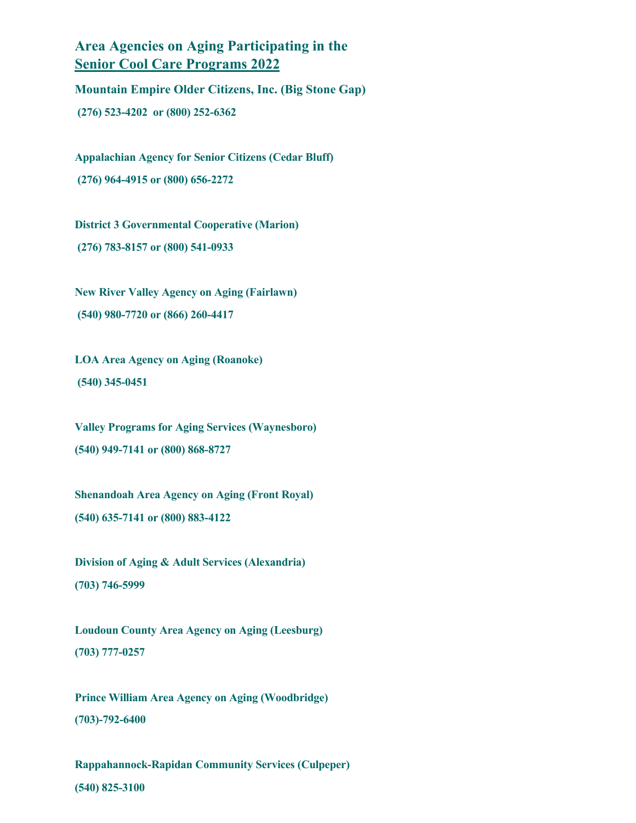**Area Agencies on Aging Participating in the Senior Cool Care Programs 2022**

**Mountain Empire Older Citizens, Inc. (Big Stone Gap) (276) 523-4202 or (800) 252-6362**

**Appalachian Agency for Senior Citizens (Cedar Bluff) (276) 964-4915 or (800) 656-2272**

**District 3 Governmental Cooperative (Marion) (276) 783-8157 or (800) 541-0933**

**New River Valley Agency on Aging (Fairlawn) (540) 980-7720 or (866) 260-4417**

**LOA Area Agency on Aging (Roanoke) (540) 345-0451** 

**Valley Programs for Aging Services (Waynesboro) (540) 949-7141 or (800) 868-8727**

**Shenandoah Area Agency on Aging (Front Royal) (540) 635-7141 or (800) 883-4122**

**Division of Aging & Adult Services (Alexandria) (703) 746-5999**

**Loudoun County Area Agency on Aging (Leesburg) (703) 777-0257**

**Prince William Area Agency on Aging (Woodbridge) (703)-792-6400**

**Rappahannock-Rapidan Community Services (Culpeper) (540) 825-3100**